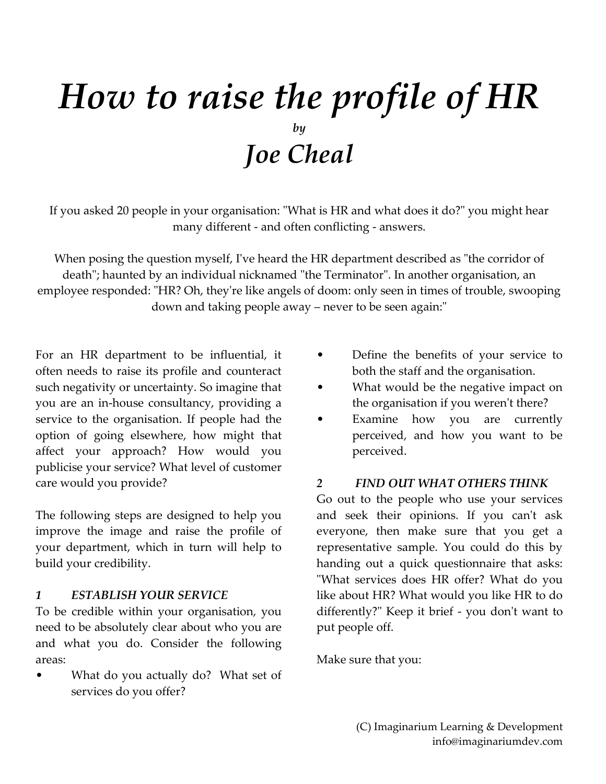# *How to raise the profile of HR by Joe Cheal*

If you asked 20 people in your organisation: "What is HR and what does it do?" you might hear many different - and often conflicting - answers.

When posing the question myself, I've heard the HR department described as "the corridor of death"; haunted by an individual nicknamed "the Terminator". In another organisation, an employee responded: "HR? Oh, they're like angels of doom: only seen in times of trouble, swooping down and taking people away – never to be seen again:"

For an HR department to be influential, it often needs to raise its profile and counteract such negativity or uncertainty. So imagine that you are an in-house consultancy, providing a service to the organisation. If people had the option of going elsewhere, how might that affect your approach? How would you publicise your service? What level of customer care would you provide?

The following steps are designed to help you improve the image and raise the profile of your department, which in turn will help to build your credibility.

#### *1 ESTABLISH YOUR SERVICE*

To be credible within your organisation, you need to be absolutely clear about who you are and what you do. Consider the following areas:

What do you actually do? What set of services do you offer?

- Define the benefits of your service to both the staff and the organisation.
- What would be the negative impact on the organisation if you weren't there?
- Examine how you are currently perceived, and how you want to be perceived.

#### *2 FIND OUT WHAT OTHERS THINK*

Go out to the people who use your services and seek their opinions. If you can't ask everyone, then make sure that you get a representative sample. You could do this by handing out a quick questionnaire that asks: "What services does HR offer? What do you like about HR? What would you like HR to do differently?" Keep it brief - you don't want to put people off.

Make sure that you: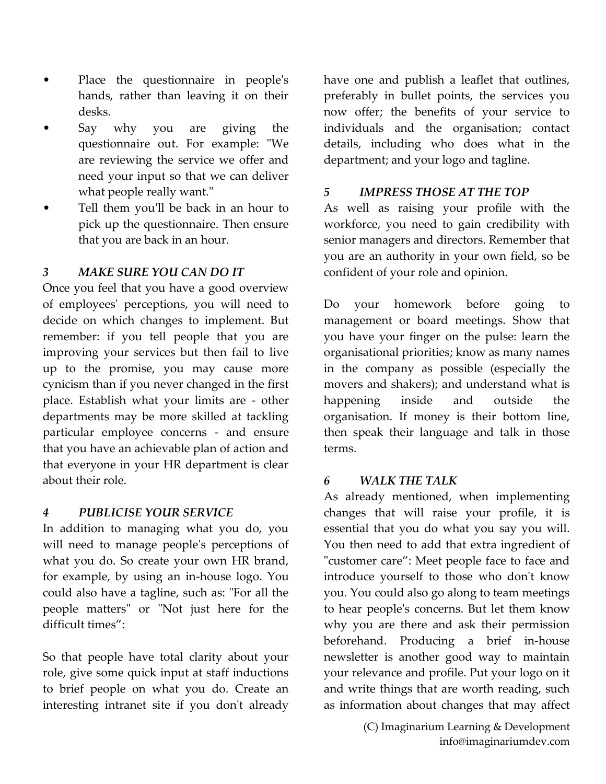- Place the questionnaire in people's hands, rather than leaving it on their desks.
- Say why you are giving the questionnaire out. For example: "We are reviewing the service we offer and need your input so that we can deliver what people really want."
- Tell them you'll be back in an hour to pick up the questionnaire. Then ensure that you are back in an hour.

## *3 MAKE SURE YOU CAN DO IT*

Once you feel that you have a good overview of employees' perceptions, you will need to decide on which changes to implement. But remember: if you tell people that you are improving your services but then fail to live up to the promise, you may cause more cynicism than if you never changed in the first place. Establish what your limits are - other departments may be more skilled at tackling particular employee concerns - and ensure that you have an achievable plan of action and that everyone in your HR department is clear about their role.

### *4 PUBLICISE YOUR SERVICE*

In addition to managing what you do, you will need to manage people's perceptions of what you do. So create your own HR brand, for example, by using an in-house logo. You could also have a tagline, such as: "For all the people matters" or "Not just here for the difficult times":

So that people have total clarity about your role, give some quick input at staff inductions to brief people on what you do. Create an interesting intranet site if you don't already have one and publish a leaflet that outlines, preferably in bullet points, the services you now offer; the benefits of your service to individuals and the organisation; contact details, including who does what in the department; and your logo and tagline.

### *5 IMPRESS THOSE AT THE TOP*

As well as raising your profile with the workforce, you need to gain credibility with senior managers and directors. Remember that you are an authority in your own field, so be confident of your role and opinion.

Do your homework before going to management or board meetings. Show that you have your finger on the pulse: learn the organisational priorities; know as many names in the company as possible (especially the movers and shakers); and understand what is happening inside and outside the organisation. If money is their bottom line, then speak their language and talk in those terms.

### *6 WALK THE TALK*

As already mentioned, when implementing changes that will raise your profile, it is essential that you do what you say you will. You then need to add that extra ingredient of "customer care": Meet people face to face and introduce yourself to those who don't know you. You could also go along to team meetings to hear people's concerns. But let them know why you are there and ask their permission beforehand. Producing a brief in-house newsletter is another good way to maintain your relevance and profile. Put your logo on it and write things that are worth reading, such as information about changes that may affect

> (C) Imaginarium Learning & Development info@imaginariumdev.com